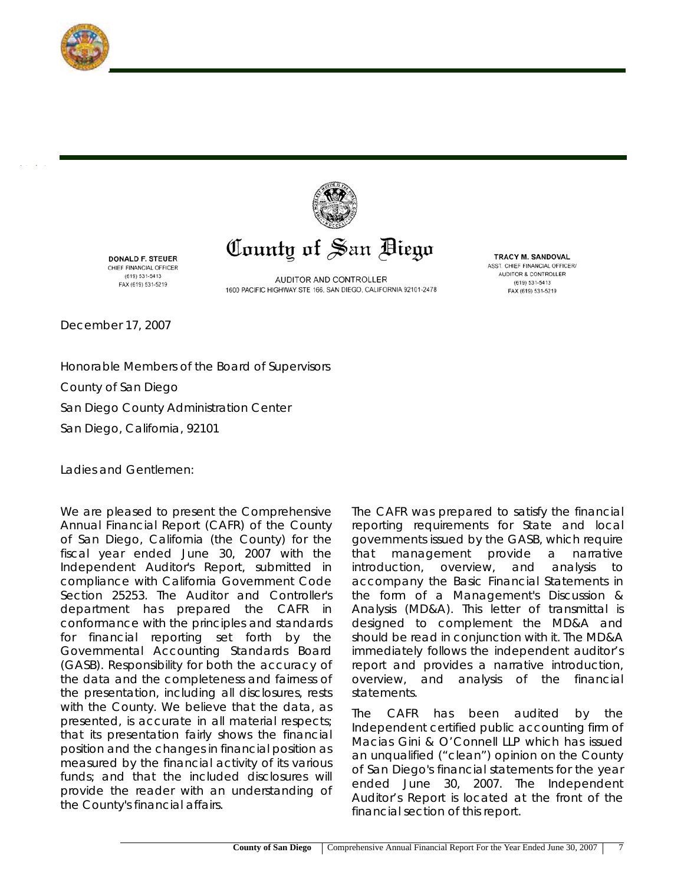



## County of San Diego

DONALD F. STEUER CHIEF FINANCIAL OFFICER (619) 531-5413 FAX (619) 531-5219

AUDITOR AND CONTROLLER 1600 PACIFIC HIGHWAY STE 166, SAN DIEGO, CALIFORNIA 92101-2478

**TRACY M. SANDOVAL** ASST. CHIEF FINANCIAL OFFICER/ AUDITOR & CONTROLLER (619) 531-5413 FAX (619) 531-5219

December 17, 2007

Honorable Members of the Board of Supervisors County of San Diego San Diego County Administration Center San Diego, California, 92101

Ladies and Gentlemen:

We are pleased to present the Comprehensive Annual Financial Report (CAFR) of the County of San Diego, California (the County) for the fiscal year ended June 30, 2007 with the Independent Auditor's Report, submitted in compliance with California Government Code Section 25253. The Auditor and Controller's department has prepared the CAFR in conformance with the principles and standards for financial reporting set forth by the Governmental Accounting Standards Board (GASB). Responsibility for both the accuracy of the data and the completeness and fairness of the presentation, including all disclosures, rests with the County. We believe that the data, as presented, is accurate in all material respects; that its presentation fairly shows the financial position and the changes in financial position as measured by the financial activity of its various funds; and that the included disclosures will provide the reader with an understanding of the County's financial affairs.

The CAFR was prepared to satisfy the financial reporting requirements for State and local governments issued by the GASB, which require that management provide a narrative introduction, overview, and analysis to accompany the Basic Financial Statements in the form of a Management's Discussion & Analysis (MD&A). This letter of transmittal is designed to complement the MD&A and should be read in conjunction with it. The MD&A immediately follows the independent auditor's report and provides a narrative introduction, overview, and analysis of the financial statements.

The CAFR has been audited by the Independent certified public accounting firm of Macias Gini & O'Connell LLP which has issued an unqualified ("clean") opinion on the County of San Diego's financial statements for the year ended June 30, 2007. The Independent Auditor's Report is located at the front of the financial section of this report.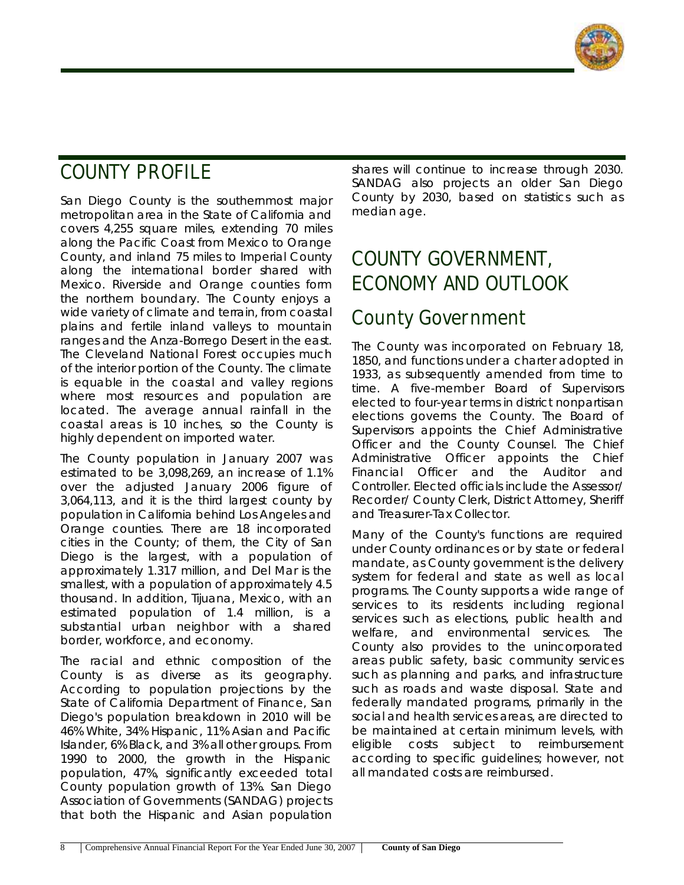

# **COUNTY PROFILE**

San Diego County is the southernmost major metropolitan area in the State of California and covers 4,255 square miles, extending 70 miles along the Pacific Coast from Mexico to Orange County, and inland 75 miles to Imperial County along the international border shared with Mexico. Riverside and Orange counties form the northern boundary. The County enjoys a wide variety of climate and terrain, from coastal plains and fertile inland valleys to mountain ranges and the Anza-Borrego Desert in the east. The Cleveland National Forest occupies much of the interior portion of the County. The climate is equable in the coastal and valley regions where most resources and population are located. The average annual rainfall in the coastal areas is 10 inches, so the County is highly dependent on imported water.

The County population in January 2007 was estimated to be 3,098,269, an increase of 1.1% over the adjusted January 2006 figure of 3,064,113, and it is the third largest county by population in California behind Los Angeles and Orange counties. There are 18 incorporated cities in the County; of them, the City of San Diego is the largest, with a population of approximately 1.317 million, and Del Mar is the smallest, with a population of approximately 4.5 thousand. In addition, Tijuana, Mexico, with an estimated population of 1.4 million, is a substantial urban neighbor with a shared border, workforce, and economy.

The racial and ethnic composition of the County is as diverse as its geography. According to population projections by the State of California Department of Finance, San Diego's population breakdown in 2010 will be 46% White, 34% Hispanic, 11% Asian and Pacific Islander, 6% Black, and 3% all other groups. From 1990 to 2000, the growth in the Hispanic population, 47%, significantly exceeded total County population growth of 13%. San Diego Association of Governments (SANDAG) projects that both the Hispanic and Asian population shares will continue to increase through 2030. SANDAG also projects an older San Diego County by 2030, based on statistics such as median age.

# **COUNTY GOVERNMENT, ECONOMY AND OUTLOOK**

#### **County Government**

The County was incorporated on February 18, 1850, and functions under a charter adopted in 1933, as subsequently amended from time to time. A five-member Board of Supervisors elected to four-year terms in district nonpartisan elections governs the County. The Board of Supervisors appoints the Chief Administrative Officer and the County Counsel. The Chief Administrative Officer appoints the Chief Financial Officer and the Auditor and Controller. Elected officials include the Assessor/ Recorder/ County Clerk, District Attorney, Sheriff and Treasurer-Tax Collector.

Many of the County's functions are required under County ordinances or by state or federal mandate, as County government is the delivery system for federal and state as well as local programs. The County supports a wide range of services to its residents including regional services such as elections, public health and welfare, and environmental services. The County also provides to the unincorporated areas public safety, basic community services such as planning and parks, and infrastructure such as roads and waste disposal. State and federally mandated programs, primarily in the social and health services areas, are directed to be maintained at certain minimum levels, with eligible costs subject to reimbursement according to specific guidelines; however, not all mandated costs are reimbursed.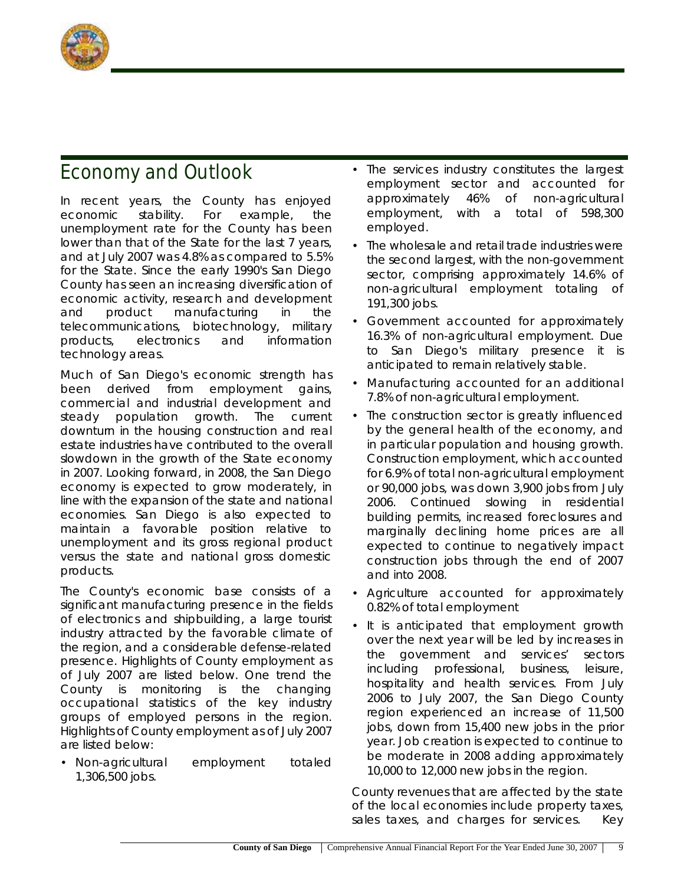

### **Economy and Outlook**

In recent years, the County has enjoyed economic stability. For example, the unemployment rate for the County has been lower than that of the State for the last 7 years, and at July 2007 was 4.8% as compared to 5.5% for the State. Since the early 1990's San Diego County has seen an increasing diversification of economic activity, research and development and product manufacturing in the telecommunications, biotechnology, military products, electronics and information technology areas.

Much of San Diego's economic strength has been derived from employment gains, commercial and industrial development and steady population growth. The current downturn in the housing construction and real estate industries have contributed to the overall slowdown in the growth of the State economy in 2007. Looking forward, in 2008, the San Diego economy is expected to grow moderately, in line with the expansion of the state and national economies. San Diego is also expected to maintain a favorable position relative to unemployment and its gross regional product versus the state and national gross domestic products.

The County's economic base consists of a significant manufacturing presence in the fields of electronics and shipbuilding, a large tourist industry attracted by the favorable climate of the region, and a considerable defense-related presence. Highlights of County employment as of July 2007 are listed below. One trend the County is monitoring is the changing occupational statistics of the key industry groups of employed persons in the region. Highlights of County employment as of July 2007 are listed below:

• Non-agricultural employment totaled 1,306,500 jobs.

- The services industry constitutes the largest employment sector and accounted for approximately 46% of non-agricultural employment, with a total of 598,300 employed.
- The wholesale and retail trade industries were the second largest, with the non-government sector, comprising approximately 14.6% of non-agricultural employment totaling of 191,300 jobs.
- Government accounted for approximately 16.3% of non-agricultural employment. Due to San Diego's military presence it is anticipated to remain relatively stable.
- Manufacturing accounted for an additional 7.8% of non-agricultural employment.
- The construction sector is greatly influenced by the general health of the economy, and in particular population and housing growth. Construction employment, which accounted for 6.9% of total non-agricultural employment or 90,000 jobs, was down 3,900 jobs from July 2006. Continued slowing in residential building permits, increased foreclosures and marginally declining home prices are all expected to continue to negatively impact construction jobs through the end of 2007 and into 2008.
- Agriculture accounted for approximately 0.82% of total employment
- It is anticipated that employment growth over the next year will be led by increases in the government and services' sectors including professional, business, leisure, hospitality and health services. From July 2006 to July 2007, the San Diego County region experienced an increase of 11,500 jobs, down from 15,400 new jobs in the prior year. Job creation is expected to continue to be moderate in 2008 adding approximately 10,000 to 12,000 new jobs in the region.

County revenues that are affected by the state of the local economies include property taxes, sales taxes, and charges for services. Key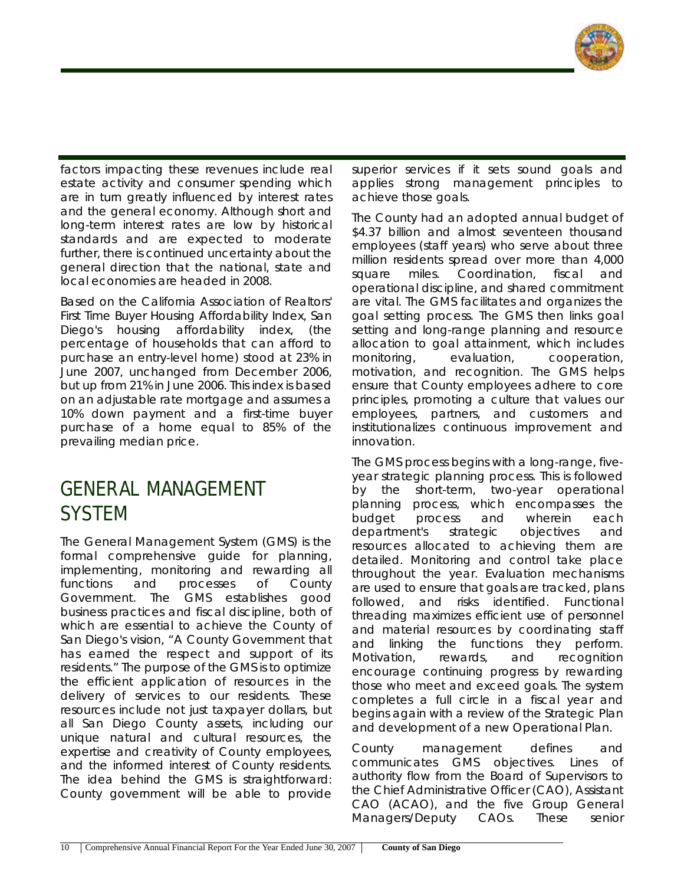

factors impacting these revenues include real estate activity and consumer spending which are in turn greatly influenced by interest rates and the general economy. Although short and long-term interest rates are low by historical standards and are expected to moderate further, there is continued uncertainty about the general direction that the national, state and local economies are headed in 2008.

Based on the California Association of Realtors' First Time Buyer Housing Affordability Index, San Diego's housing affordability index, (the percentage of households that can afford to purchase an entry-level home) stood at 23% in June 2007, unchanged from December 2006, but up from 21% in June 2006. This index is based on an adjustable rate mortgage and assumes a 10% down payment and a first-time buyer purchase of a home equal to 85% of the prevailing median price.

### **GENERAL MANAGEMENT SYSTEM**

The General Management System (GMS) is the formal comprehensive guide for planning, implementing, monitoring and rewarding all functions and processes of County Government. The GMS establishes good business practices and fiscal discipline, both of which are essential to achieve the County of San Diego's vision, "A County Government that has earned the respect and support of its residents." The purpose of the GMS is to optimize the efficient application of resources in the delivery of services to our residents. These resources include not just taxpayer dollars, but all San Diego County assets, including our unique natural and cultural resources, the expertise and creativity of County employees, and the informed interest of County residents. The idea behind the GMS is straightforward: County government will be able to provide

superior services if it sets sound goals and applies strong management principles to achieve those goals.

The County had an adopted annual budget of \$4.37 billion and almost seventeen thousand employees (staff years) who serve about three million residents spread over more than 4,000 square miles. Coordination, fiscal and operational discipline, and shared commitment are vital. The GMS facilitates and organizes the goal setting process. The GMS then links goal setting and long-range planning and resource allocation to goal attainment, which includes monitoring, evaluation, cooperation, motivation, and recognition. The GMS helps ensure that County employees adhere to core principles, promoting a culture that values our employees, partners, and customers and institutionalizes continuous improvement and innovation.

The GMS process begins with a long-range, fiveyear strategic planning process. This is followed by the short-term, two-year operational planning process, which encompasses the budget process and wherein each department's strategic objectives and resources allocated to achieving them are detailed. Monitoring and control take place throughout the year. Evaluation mechanisms are used to ensure that goals are tracked, plans followed, and risks identified. Functional threading maximizes efficient use of personnel and material resources by coordinating staff and linking the functions they perform. Motivation, rewards, and recognition encourage continuing progress by rewarding those who meet and exceed goals. The system completes a full circle in a fiscal year and begins again with a review of the Strategic Plan and development of a new Operational Plan.

County management defines and communicates GMS objectives. Lines of authority flow from the Board of Supervisors to the Chief Administrative Officer (CAO), Assistant CAO (ACAO), and the five Group General Managers/Deputy CAOs. These senior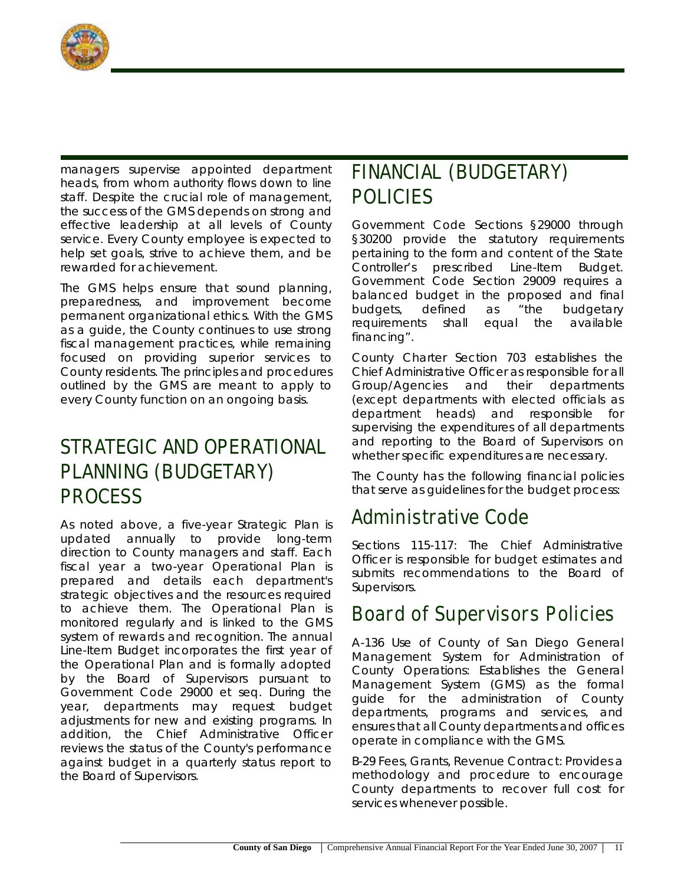

managers supervise appointed department heads, from whom authority flows down to line staff. Despite the crucial role of management, the success of the GMS depends on strong and effective leadership at all levels of County service. Every County employee is expected to help set goals, strive to achieve them, and be rewarded for achievement.

The GMS helps ensure that sound planning, preparedness, and improvement become permanent organizational ethics. With the GMS as a guide, the County continues to use strong fiscal management practices, while remaining focused on providing superior services to County residents. The principles and procedures outlined by the GMS are meant to apply to every County function on an ongoing basis.

### **STRATEGIC AND OPERATIONAL PLANNING (BUDGETARY) PROCESS**

As noted above, a five-year Strategic Plan is updated annually to provide long-term direction to County managers and staff. Each fiscal year a two-year Operational Plan is prepared and details each department's strategic objectives and the resources required to achieve them. The Operational Plan is monitored regularly and is linked to the GMS system of rewards and recognition. The annual Line-Item Budget incorporates the first year of the Operational Plan and is formally adopted by the Board of Supervisors pursuant to Government Code 29000 et seq. During the year, departments may request budget adjustments for new and existing programs. In addition, the Chief Administrative Officer reviews the status of the County's performance against budget in a quarterly status report to the Board of Supervisors.

# **FINANCIAL (BUDGETARY) POLICIES**

Government Code Sections §29000 through §30200 provide the statutory requirements pertaining to the form and content of the State Controller's prescribed Line-Item Budget. Government Code Section 29009 requires a balanced budget in the proposed and final budgets, defined as "the budgetary requirements shall equal the available financing".

County Charter Section 703 establishes the Chief Administrative Officer as responsible for all Group/Agencies and their departments (except departments with elected officials as department heads) and responsible for supervising the expenditures of all departments and reporting to the Board of Supervisors on whether specific expenditures are necessary.

The County has the following financial policies that serve as guidelines for the budget process:

# **Administrative Code**

Sections 115-117: The Chief Administrative Officer is responsible for budget estimates and submits recommendations to the Board of Supervisors.

#### **Board of Supervisors Policies**

A-136 Use of County of San Diego General Management System for Administration of County Operations: Establishes the General Management System (GMS) as the formal guide for the administration of County departments, programs and services, and ensures that all County departments and offices operate in compliance with the GMS.

B-29 Fees, Grants, Revenue Contract: Provides a methodology and procedure to encourage County departments to recover full cost for services whenever possible.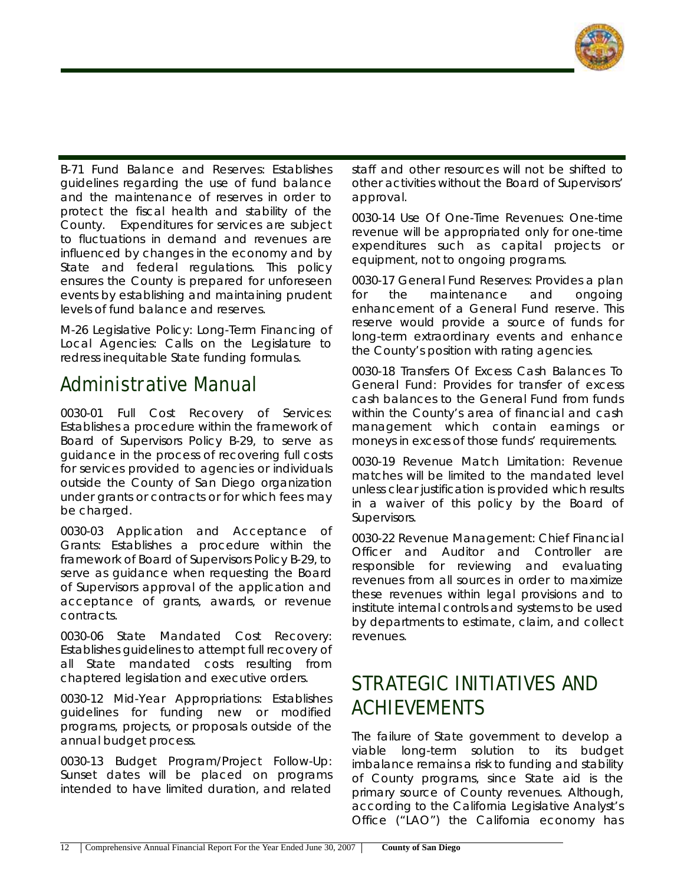

B-71 Fund Balance and Reserves: Establishes guidelines regarding the use of fund balance and the maintenance of reserves in order to protect the fiscal health and stability of the County. Expenditures for services are subject to fluctuations in demand and revenues are influenced by changes in the economy and by State and federal regulations. This policy ensures the County is prepared for unforeseen events by establishing and maintaining prudent levels of fund balance and reserves.

M-26 Legislative Policy: Long-Term Financing of Local Agencies: Calls on the Legislature to redress inequitable State funding formulas.

### **Administrative Manual**

0030-01 Full Cost Recovery of Services: Establishes a procedure within the framework of Board of Supervisors Policy B-29, to serve as guidance in the process of recovering full costs for services provided to agencies or individuals outside the County of San Diego organization under grants or contracts or for which fees may be charged.

0030-03 Application and Acceptance of Grants: Establishes a procedure within the framework of Board of Supervisors Policy B-29, to serve as guidance when requesting the Board of Supervisors approval of the application and acceptance of grants, awards, or revenue contracts.

0030-06 State Mandated Cost Recovery: Establishes guidelines to attempt full recovery of all State mandated costs resulting from chaptered legislation and executive orders.

0030-12 Mid-Year Appropriations: Establishes guidelines for funding new or modified programs, projects, or proposals outside of the annual budget process.

0030-13 Budget Program/Project Follow-Up: Sunset dates will be placed on programs intended to have limited duration, and related staff and other resources will not be shifted to other activities without the Board of Supervisors' approval.

0030-14 Use Of One-Time Revenues: One-time revenue will be appropriated only for one-time expenditures such as capital projects or equipment, not to ongoing programs.

0030-17 General Fund Reserves: Provides a plan for the maintenance and ongoing enhancement of a General Fund reserve. This reserve would provide a source of funds for long-term extraordinary events and enhance the County's position with rating agencies.

0030-18 Transfers Of Excess Cash Balances To General Fund: Provides for transfer of excess cash balances to the General Fund from funds within the County's area of financial and cash management which contain earnings or moneys in excess of those funds' requirements.

0030-19 Revenue Match Limitation: Revenue matches will be limited to the mandated level unless clear justification is provided which results in a waiver of this policy by the Board of Supervisors.

0030-22 Revenue Management: Chief Financial Officer and Auditor and Controller are responsible for reviewing and evaluating revenues from all sources in order to maximize these revenues within legal provisions and to institute internal controls and systems to be used by departments to estimate, claim, and collect revenues.

# **STRATEGIC INITIATIVES AND ACHIEVEMENTS**

The failure of State government to develop a viable long-term solution to its budget imbalance remains a risk to funding and stability of County programs, since State aid is the primary source of County revenues. Although, according to the California Legislative Analyst's Office ("LAO") the California economy has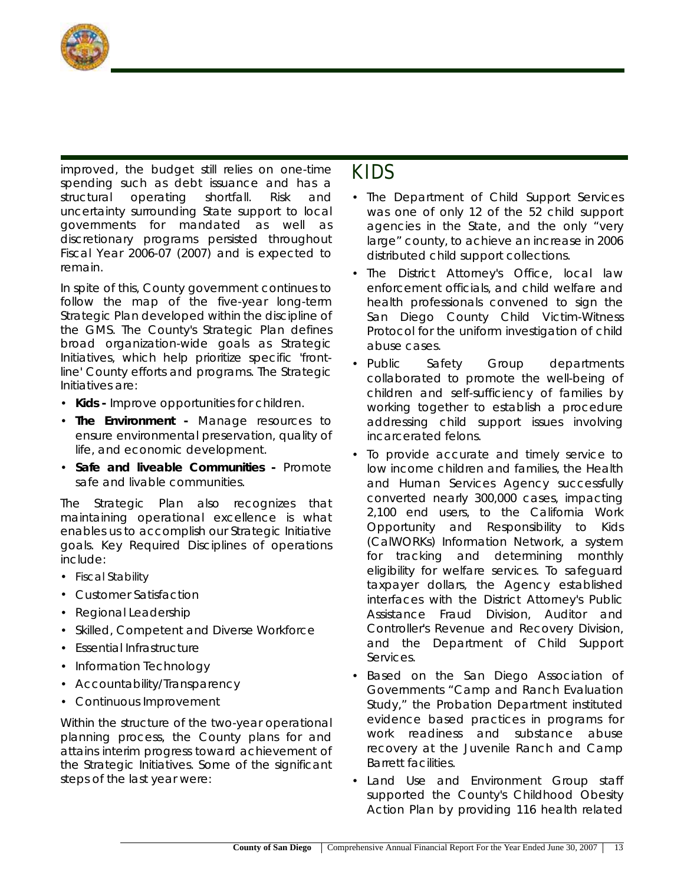

improved, the budget still relies on one-time spending such as debt issuance and has a structural operating shortfall. Risk and uncertainty surrounding State support to local governments for mandated as well as discretionary programs persisted throughout Fiscal Year 2006-07 (2007) and is expected to remain.

In spite of this, County government continues to follow the map of the five-year long-term Strategic Plan developed within the discipline of the GMS. The County's Strategic Plan defines broad organization-wide goals as Strategic Initiatives, which help prioritize specific 'frontline' County efforts and programs. The Strategic Initiatives are:

- **Kids** Improve opportunities for children.
- **The Environment** Manage resources to ensure environmental preservation, quality of life, and economic development.
- **Safe and liveable Communities** Promote safe and livable communities.

The Strategic Plan also recognizes that maintaining operational excellence is what enables us to accomplish our Strategic Initiative goals. Key Required Disciplines of operations include:

- Fiscal Stability
- Customer Satisfaction
- Regional Leadership
- Skilled, Competent and Diverse Workforce
- Essential Infrastructure
- Information Technology
- Accountability/Transparency
- Continuous Improvement

Within the structure of the two-year operational planning process, the County plans for and attains interim progress toward achievement of the Strategic Initiatives. Some of the significant steps of the last year were:

#### **KIDS**

- The Department of Child Support Services was one of only 12 of the 52 child support agencies in the State, and the only "very large" county, to achieve an increase in 2006 distributed child support collections.
- The District Attorney's Office, local law enforcement officials, and child welfare and health professionals convened to sign the San Diego County Child Victim-Witness Protocol for the uniform investigation of child abuse cases.
- Public Safety Group departments collaborated to promote the well-being of children and self-sufficiency of families by working together to establish a procedure addressing child support issues involving incarcerated felons.
- To provide accurate and timely service to low income children and families, the Health and Human Services Agency successfully converted nearly 300,000 cases, impacting 2,100 end users, to the California Work Opportunity and Responsibility to Kids (CalWORKs) Information Network, a system for tracking and determining monthly eligibility for welfare services. To safeguard taxpayer dollars, the Agency established interfaces with the District Attorney's Public Assistance Fraud Division, Auditor and Controller's Revenue and Recovery Division, and the Department of Child Support Services.
- Based on the San Diego Association of Governments "Camp and Ranch Evaluation Study," the Probation Department instituted evidence based practices in programs for work readiness and substance abuse recovery at the Juvenile Ranch and Camp Barrett facilities.
- Land Use and Environment Group staff supported the County's Childhood Obesity Action Plan by providing 116 health related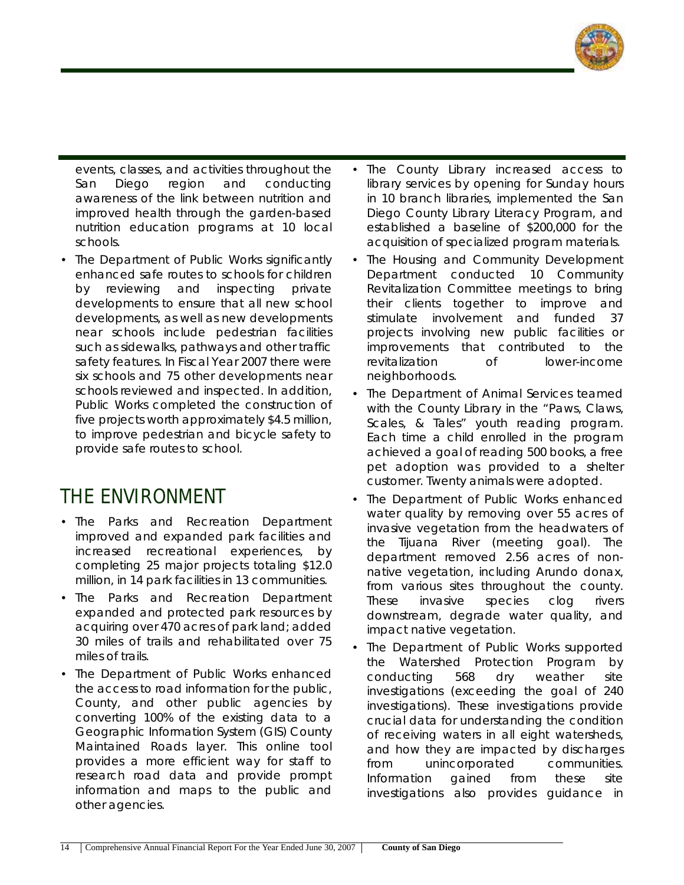

events, classes, and activities throughout the San Diego region and conducting awareness of the link between nutrition and improved health through the garden-based nutrition education programs at 10 local schools.

• The Department of Public Works significantly enhanced safe routes to schools for children by reviewing and inspecting private developments to ensure that all new school developments, as well as new developments near schools include pedestrian facilities such as sidewalks, pathways and other traffic safety features. In Fiscal Year 2007 there were six schools and 75 other developments near schools reviewed and inspected. In addition, Public Works completed the construction of five projects worth approximately \$4.5 million, to improve pedestrian and bicycle safety to provide safe routes to school.

#### **THE ENVIRONMENT**

- The Parks and Recreation Department improved and expanded park facilities and increased recreational experiences, by completing 25 major projects totaling \$12.0 million, in 14 park facilities in 13 communities.
- The Parks and Recreation Department expanded and protected park resources by acquiring over 470 acres of park land; added 30 miles of trails and rehabilitated over 75 miles of trails.
- The Department of Public Works enhanced the access to road information for the public, County, and other public agencies by converting 100% of the existing data to a Geographic Information System (GIS) County Maintained Roads layer. This online tool provides a more efficient way for staff to research road data and provide prompt information and maps to the public and other agencies.
- The County Library increased access to library services by opening for Sunday hours in 10 branch libraries, implemented the San Diego County Library Literacy Program, and established a baseline of \$200,000 for the acquisition of specialized program materials.
- The Housing and Community Development Department conducted 10 Community Revitalization Committee meetings to bring their clients together to improve and stimulate involvement and funded 37 projects involving new public facilities or improvements that contributed to the revitalization of lower-income neighborhoods.
- The Department of Animal Services teamed with the County Library in the "Paws, Claws, Scales, & Tales" youth reading program. Each time a child enrolled in the program achieved a goal of reading 500 books, a free pet adoption was provided to a shelter customer. Twenty animals were adopted.
- The Department of Public Works enhanced water quality by removing over 55 acres of invasive vegetation from the headwaters of the Tijuana River (meeting goal). The department removed 2.56 acres of nonnative vegetation, including Arundo donax, from various sites throughout the county. These invasive species clog rivers downstream, degrade water quality, and impact native vegetation.
- The Department of Public Works supported the Watershed Protection Program by conducting 568 dry weather site investigations (exceeding the goal of 240 investigations). These investigations provide crucial data for understanding the condition of receiving waters in all eight watersheds, and how they are impacted by discharges from unincorporated communities. Information gained from these site investigations also provides guidance in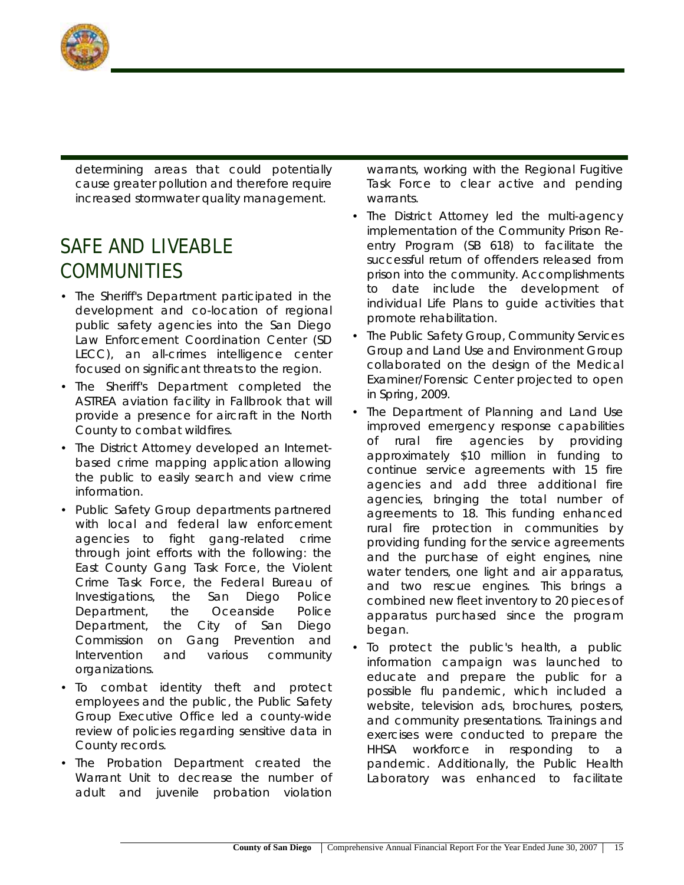

determining areas that could potentially cause greater pollution and therefore require increased stormwater quality management.

# **SAFE AND LIVEABLE COMMUNITIES**

- The Sheriff's Department participated in the development and co-location of regional public safety agencies into the San Diego Law Enforcement Coordination Center (SD LECC), an all-crimes intelligence center focused on significant threats to the region.
- The Sheriff's Department completed the ASTREA aviation facility in Fallbrook that will provide a presence for aircraft in the North County to combat wildfires.
- The District Attorney developed an Internetbased crime mapping application allowing the public to easily search and view crime information.
- Public Safety Group departments partnered with local and federal law enforcement agencies to fight gang-related crime through joint efforts with the following: the East County Gang Task Force, the Violent Crime Task Force, the Federal Bureau of Investigations, the San Diego Police Department, the Oceanside Police Department, the City of San Diego Commission on Gang Prevention and Intervention and various community organizations.
- To combat identity theft and protect employees and the public, the Public Safety Group Executive Office led a county-wide review of policies regarding sensitive data in County records.
- The Probation Department created the Warrant Unit to decrease the number of adult and juvenile probation violation

warrants, working with the Regional Fugitive Task Force to clear active and pending warrants.

- The District Attorney led the multi-agency implementation of the Community Prison Reentry Program (SB 618) to facilitate the successful return of offenders released from prison into the community. Accomplishments to date include the development of individual Life Plans to guide activities that promote rehabilitation.
- The Public Safety Group, Community Services Group and Land Use and Environment Group collaborated on the design of the Medical Examiner/Forensic Center projected to open in Spring, 2009.
- The Department of Planning and Land Use improved emergency response capabilities of rural fire agencies by providing approximately \$10 million in funding to continue service agreements with 15 fire agencies and add three additional fire agencies, bringing the total number of agreements to 18. This funding enhanced rural fire protection in communities by providing funding for the service agreements and the purchase of eight engines, nine water tenders, one light and air apparatus, and two rescue engines. This brings a combined new fleet inventory to 20 pieces of apparatus purchased since the program began.
- To protect the public's health, a public information campaign was launched to educate and prepare the public for a possible flu pandemic, which included a website, television ads, brochures, posters, and community presentations. Trainings and exercises were conducted to prepare the HHSA workforce in responding to a pandemic. Additionally, the Public Health Laboratory was enhanced to facilitate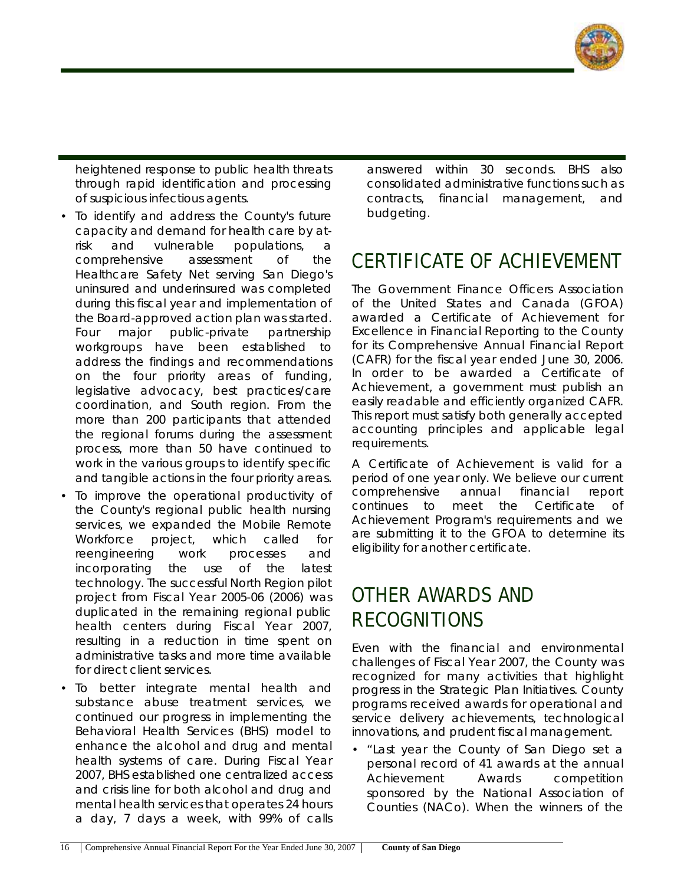

heightened response to public health threats through rapid identification and processing of suspicious infectious agents.

- To identify and address the County's future capacity and demand for health care by atrisk and vulnerable populations, a comprehensive assessment of the Healthcare Safety Net serving San Diego's uninsured and underinsured was completed during this fiscal year and implementation of the Board-approved action plan was started. Four major public-private partnership workgroups have been established to address the findings and recommendations on the four priority areas of funding, legislative advocacy, best practices/care coordination, and South region. From the more than 200 participants that attended the regional forums during the assessment process, more than 50 have continued to work in the various groups to identify specific and tangible actions in the four priority areas.
- To improve the operational productivity of the County's regional public health nursing services, we expanded the Mobile Remote Workforce project, which called for reengineering work processes and incorporating the use of the latest technology. The successful North Region pilot project from Fiscal Year 2005-06 (2006) was duplicated in the remaining regional public health centers during Fiscal Year 2007, resulting in a reduction in time spent on administrative tasks and more time available for direct client services.
- To better integrate mental health and substance abuse treatment services, we continued our progress in implementing the Behavioral Health Services (BHS) model to enhance the alcohol and drug and mental health systems of care. During Fiscal Year 2007, BHS established one centralized access and crisis line for both alcohol and drug and mental health services that operates 24 hours a day, 7 days a week, with 99% of calls

answered within 30 seconds. BHS also consolidated administrative functions such as contracts, financial management, and budgeting.

# **CERTIFICATE OF ACHIEVEMENT**

The Government Finance Officers Association of the United States and Canada (GFOA) awarded a Certificate of Achievement for Excellence in Financial Reporting to the County for its Comprehensive Annual Financial Report (CAFR) for the fiscal year ended June 30, 2006. In order to be awarded a Certificate of Achievement, a government must publish an easily readable and efficiently organized CAFR. This report must satisfy both generally accepted accounting principles and applicable legal requirements.

A Certificate of Achievement is valid for a period of one year only. We believe our current comprehensive annual financial report continues to meet the Certificate of Achievement Program's requirements and we are submitting it to the GFOA to determine its eligibility for another certificate.

# **OTHER AWARDS AND RECOGNITIONS**

Even with the financial and environmental challenges of Fiscal Year 2007, the County was recognized for many activities that highlight progress in the Strategic Plan Initiatives. County programs received awards for operational and service delivery achievements, technological innovations, and prudent fiscal management.

• "Last year the County of San Diego set a personal record of 41 awards at the annual Achievement Awards competition sponsored by the National Association of Counties (NACo). When the winners of the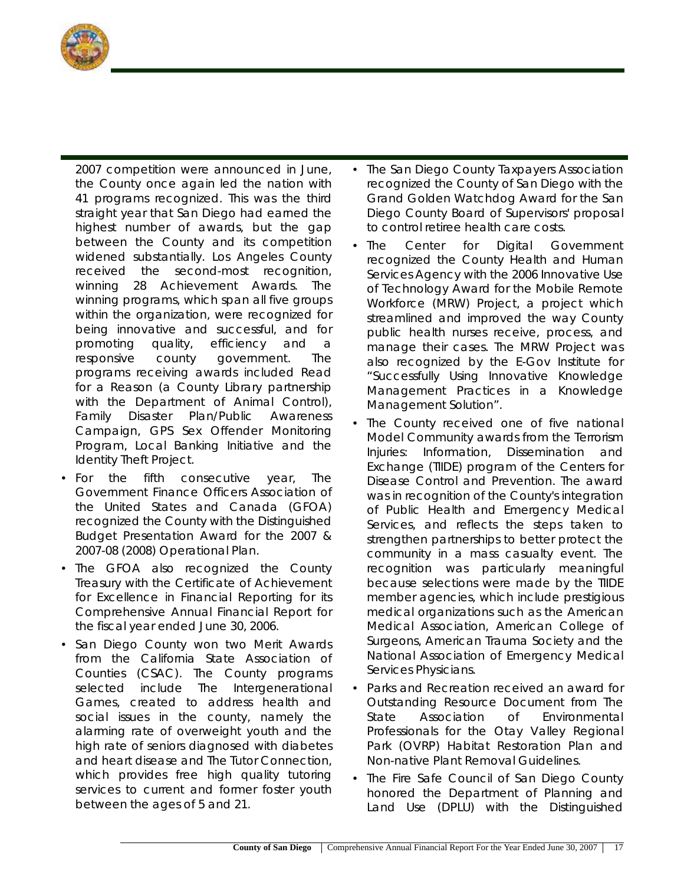

2007 competition were announced in June, the County once again led the nation with 41 programs recognized. This was the third straight year that San Diego had earned the highest number of awards, but the gap between the County and its competition widened substantially. Los Angeles County received the second-most recognition, winning 28 Achievement Awards. The winning programs, which span all five groups within the organization, were recognized for being innovative and successful, and for promoting quality, efficiency and a responsive county government. The programs receiving awards included Read for a Reason (a County Library partnership with the Department of Animal Control), Family Disaster Plan/Public Awareness Campaign, GPS Sex Offender Monitoring Program, Local Banking Initiative and the Identity Theft Project.

- For the fifth consecutive year, The Government Finance Officers Association of the United States and Canada (GFOA) recognized the County with the Distinguished Budget Presentation Award for the 2007 & 2007-08 (2008) Operational Plan.
- The GFOA also recognized the County Treasury with the Certificate of Achievement for Excellence in Financial Reporting for its Comprehensive Annual Financial Report for the fiscal year ended June 30, 2006.
- San Diego County won two Merit Awards from the California State Association of Counties (CSAC). The County programs selected include The Intergenerational Games, created to address health and social issues in the county, namely the alarming rate of overweight youth and the high rate of seniors diagnosed with diabetes and heart disease and The Tutor Connection, which provides free high quality tutoring services to current and former foster youth between the ages of 5 and 21.
- The San Diego County Taxpayers Association recognized the County of San Diego with the Grand Golden Watchdog Award for the San Diego County Board of Supervisors' proposal to control retiree health care costs.
- The Center for Digital Government recognized the County Health and Human Services Agency with the 2006 Innovative Use of Technology Award for the Mobile Remote Workforce (MRW) Project, a project which streamlined and improved the way County public health nurses receive, process, and manage their cases. The MRW Project was also recognized by the E-Gov Institute for "Successfully Using Innovative Knowledge Management Practices in a Knowledge Management Solution".
- The County received one of five national Model Community awards from the Terrorism Injuries: Information, Dissemination and Exchange (TIIDE) program of the Centers for Disease Control and Prevention. The award was in recognition of the County's integration of Public Health and Emergency Medical Services, and reflects the steps taken to strengthen partnerships to better protect the community in a mass casualty event. The recognition was particularly meaningful because selections were made by the TIIDE member agencies, which include prestigious medical organizations such as the American Medical Association, American College of Surgeons, American Trauma Society and the National Association of Emergency Medical Services Physicians.
- Parks and Recreation received an award for Outstanding Resource Document from The State Association of Environmental Professionals for the Otay Valley Regional Park (OVRP) Habitat Restoration Plan and Non-native Plant Removal Guidelines.
- The Fire Safe Council of San Diego County honored the Department of Planning and Land Use (DPLU) with the Distinguished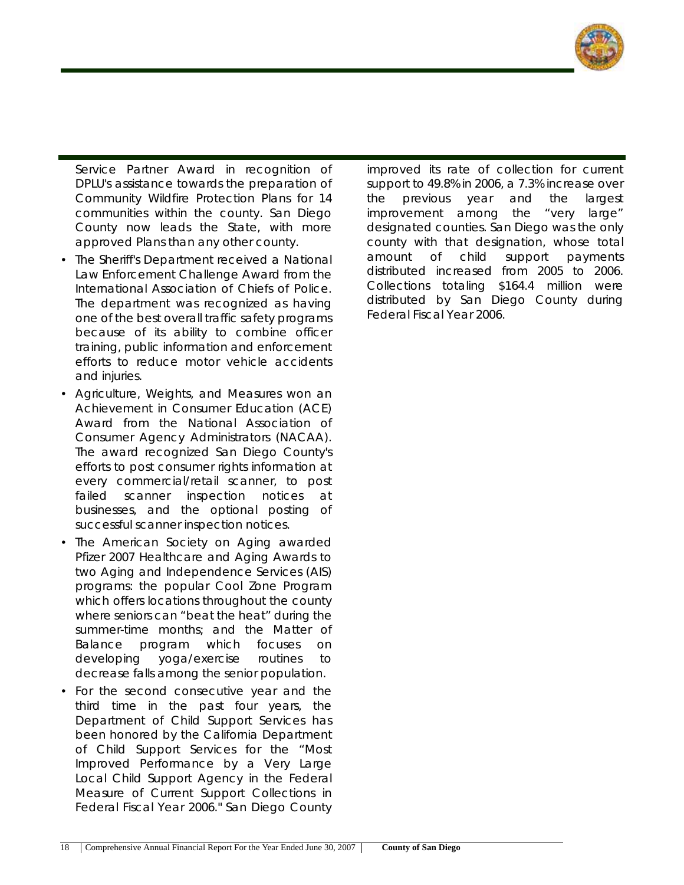

Service Partner Award in recognition of DPLU's assistance towards the preparation of Community Wildfire Protection Plans for 14 communities within the county. San Diego County now leads the State, with more approved Plans than any other county.

- The Sheriff's Department received a National Law Enforcement Challenge Award from the International Association of Chiefs of Police. The department was recognized as having one of the best overall traffic safety programs because of its ability to combine officer training, public information and enforcement efforts to reduce motor vehicle accidents and injuries.
- Agriculture, Weights, and Measures won an Achievement in Consumer Education (ACE) Award from the National Association of Consumer Agency Administrators (NACAA). The award recognized San Diego County's efforts to post consumer rights information at every commercial/retail scanner, to post failed scanner inspection notices at businesses, and the optional posting of successful scanner inspection notices.
- The American Society on Aging awarded Pfizer 2007 Healthcare and Aging Awards to two Aging and Independence Services (AIS) programs: the popular Cool Zone Program which offers locations throughout the county where seniors can "beat the heat" during the summer-time months; and the Matter of Balance program which focuses on developing yoga/exercise routines to decrease falls among the senior population.
- For the second consecutive year and the third time in the past four years, the Department of Child Support Services has been honored by the California Department of Child Support Services for the "Most Improved Performance by a Very Large Local Child Support Agency in the Federal Measure of Current Support Collections in Federal Fiscal Year 2006." San Diego County

improved its rate of collection for current support to 49.8% in 2006, a 7.3% increase over the previous year and the largest improvement among the "very large" designated counties. San Diego was the only county with that designation, whose total amount of child support payments distributed increased from 2005 to 2006. Collections totaling \$164.4 million were distributed by San Diego County during Federal Fiscal Year 2006.